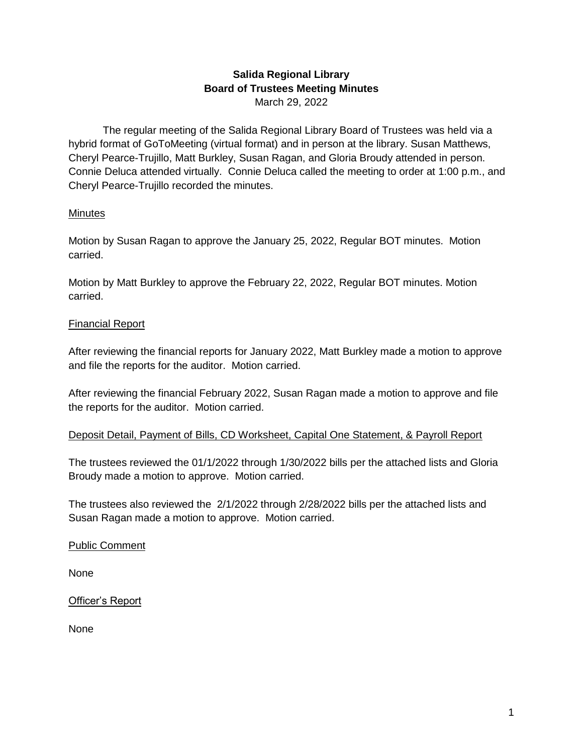# **Salida Regional Library Board of Trustees Meeting Minutes** March 29, 2022

The regular meeting of the Salida Regional Library Board of Trustees was held via a hybrid format of GoToMeeting (virtual format) and in person at the library. Susan Matthews, Cheryl Pearce-Trujillo, Matt Burkley, Susan Ragan, and Gloria Broudy attended in person. Connie Deluca attended virtually. Connie Deluca called the meeting to order at 1:00 p.m., and Cheryl Pearce-Trujillo recorded the minutes.

# Minutes

Motion by Susan Ragan to approve the January 25, 2022, Regular BOT minutes. Motion carried.

Motion by Matt Burkley to approve the February 22, 2022, Regular BOT minutes. Motion carried.

# Financial Report

After reviewing the financial reports for January 2022, Matt Burkley made a motion to approve and file the reports for the auditor. Motion carried.

After reviewing the financial February 2022, Susan Ragan made a motion to approve and file the reports for the auditor. Motion carried.

### Deposit Detail, Payment of Bills, CD Worksheet, Capital One Statement, & Payroll Report

The trustees reviewed the 01/1/2022 through 1/30/2022 bills per the attached lists and Gloria Broudy made a motion to approve. Motion carried.

The trustees also reviewed the 2/1/2022 through 2/28/2022 bills per the attached lists and Susan Ragan made a motion to approve. Motion carried.

### Public Comment

None

Officer's Report

None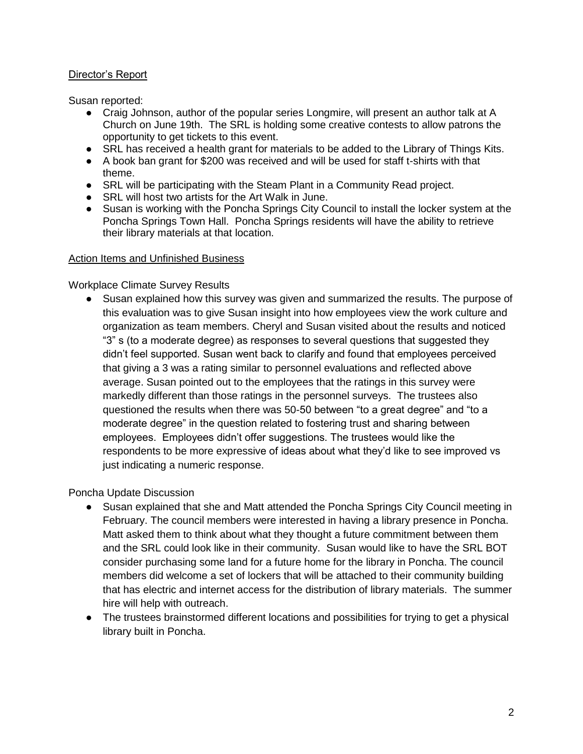# Director's Report

Susan reported:

- Craig Johnson, author of the popular series Longmire, will present an author talk at A Church on June 19th. The SRL is holding some creative contests to allow patrons the opportunity to get tickets to this event.
- SRL has received a health grant for materials to be added to the Library of Things Kits.
- A book ban grant for \$200 was received and will be used for staff t-shirts with that theme.
- SRL will be participating with the Steam Plant in a Community Read project.
- SRL will host two artists for the Art Walk in June.
- Susan is working with the Poncha Springs City Council to install the locker system at the Poncha Springs Town Hall. Poncha Springs residents will have the ability to retrieve their library materials at that location.

### Action Items and Unfinished Business

### Workplace Climate Survey Results

• Susan explained how this survey was given and summarized the results. The purpose of this evaluation was to give Susan insight into how employees view the work culture and organization as team members. Cheryl and Susan visited about the results and noticed "3" s (to a moderate degree) as responses to several questions that suggested they didn't feel supported. Susan went back to clarify and found that employees perceived that giving a 3 was a rating similar to personnel evaluations and reflected above average. Susan pointed out to the employees that the ratings in this survey were markedly different than those ratings in the personnel surveys. The trustees also questioned the results when there was 50-50 between "to a great degree" and "to a moderate degree" in the question related to fostering trust and sharing between employees. Employees didn't offer suggestions. The trustees would like the respondents to be more expressive of ideas about what they'd like to see improved vs just indicating a numeric response.

Poncha Update Discussion

- Susan explained that she and Matt attended the Poncha Springs City Council meeting in February. The council members were interested in having a library presence in Poncha. Matt asked them to think about what they thought a future commitment between them and the SRL could look like in their community. Susan would like to have the SRL BOT consider purchasing some land for a future home for the library in Poncha. The council members did welcome a set of lockers that will be attached to their community building that has electric and internet access for the distribution of library materials. The summer hire will help with outreach.
- The trustees brainstormed different locations and possibilities for trying to get a physical library built in Poncha.